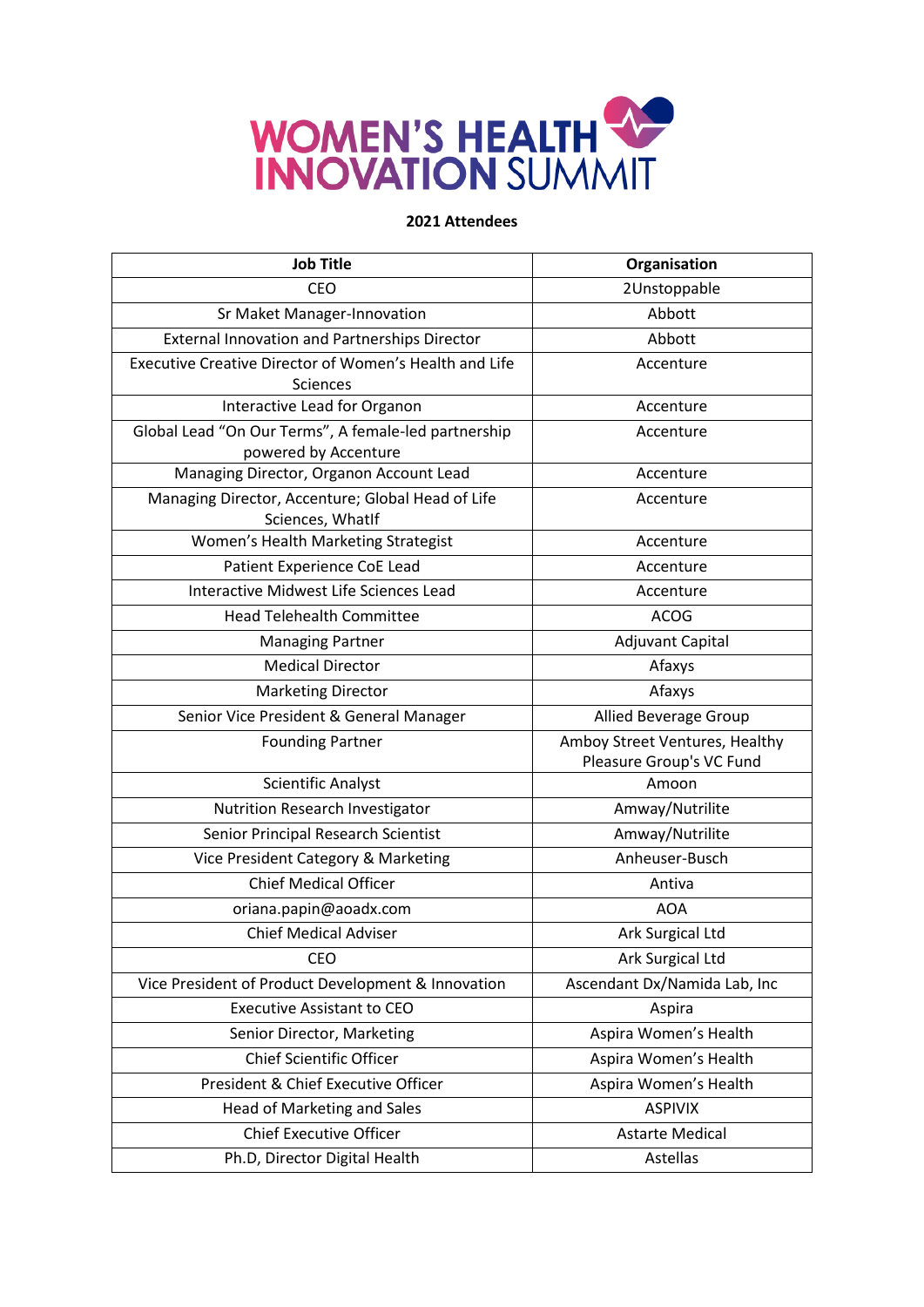

| <b>Job Title</b>                                                                 | Organisation                                               |
|----------------------------------------------------------------------------------|------------------------------------------------------------|
| <b>CEO</b>                                                                       | 2Unstoppable                                               |
| Sr Maket Manager-Innovation                                                      | Abbott                                                     |
| <b>External Innovation and Partnerships Director</b>                             | Abbott                                                     |
| <b>Executive Creative Director of Women's Health and Life</b><br><b>Sciences</b> | Accenture                                                  |
| Interactive Lead for Organon                                                     | Accenture                                                  |
| Global Lead "On Our Terms", A female-led partnership<br>powered by Accenture     | Accenture                                                  |
| Managing Director, Organon Account Lead                                          | Accenture                                                  |
| Managing Director, Accenture; Global Head of Life<br>Sciences, WhatIf            | Accenture                                                  |
| Women's Health Marketing Strategist                                              | Accenture                                                  |
| Patient Experience CoE Lead                                                      | Accenture                                                  |
| Interactive Midwest Life Sciences Lead                                           | Accenture                                                  |
| <b>Head Telehealth Committee</b>                                                 | <b>ACOG</b>                                                |
| <b>Managing Partner</b>                                                          | <b>Adjuvant Capital</b>                                    |
| <b>Medical Director</b>                                                          | Afaxys                                                     |
| <b>Marketing Director</b>                                                        | Afaxys                                                     |
| Senior Vice President & General Manager                                          | Allied Beverage Group                                      |
| <b>Founding Partner</b>                                                          | Amboy Street Ventures, Healthy<br>Pleasure Group's VC Fund |
| Scientific Analyst                                                               | Amoon                                                      |
| Nutrition Research Investigator                                                  | Amway/Nutrilite                                            |
| Senior Principal Research Scientist                                              | Amway/Nutrilite                                            |
| Vice President Category & Marketing                                              | Anheuser-Busch                                             |
| <b>Chief Medical Officer</b>                                                     | Antiva                                                     |
| oriana.papin@aoadx.com                                                           | <b>AOA</b>                                                 |
| <b>Chief Medical Adviser</b>                                                     | Ark Surgical Ltd                                           |
| <b>CEO</b>                                                                       | Ark Surgical Ltd                                           |
| Vice President of Product Development & Innovation                               | Ascendant Dx/Namida Lab, Inc                               |
| <b>Executive Assistant to CEO</b>                                                | Aspira                                                     |
| Senior Director, Marketing                                                       | Aspira Women's Health                                      |
| <b>Chief Scientific Officer</b>                                                  | Aspira Women's Health                                      |
| President & Chief Executive Officer                                              | Aspira Women's Health                                      |
| Head of Marketing and Sales                                                      | <b>ASPIVIX</b>                                             |
| <b>Chief Executive Officer</b>                                                   | <b>Astarte Medical</b>                                     |
| Ph.D, Director Digital Health                                                    | Astellas                                                   |
|                                                                                  |                                                            |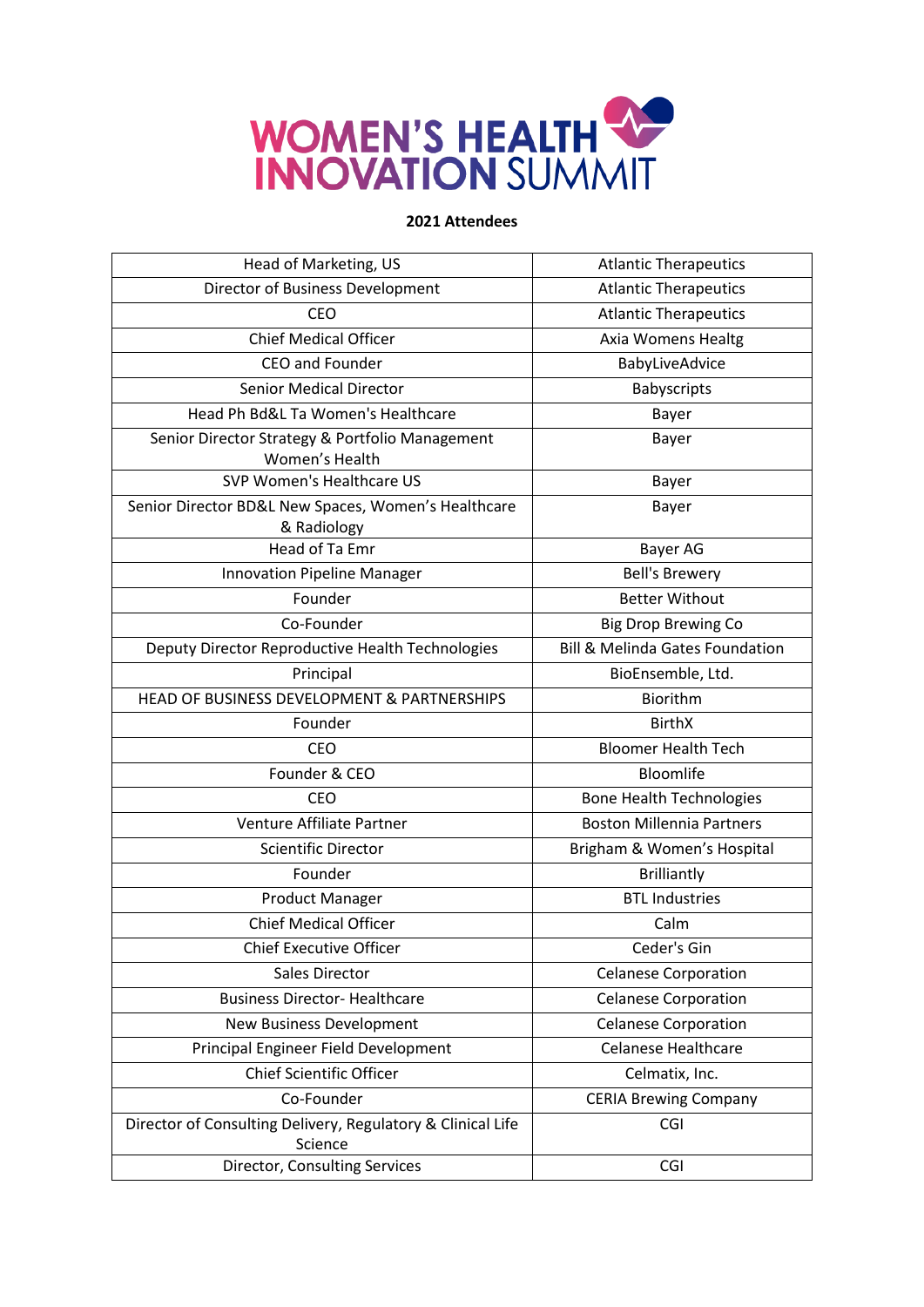

| Head of Marketing, US                                                  | <b>Atlantic Therapeutics</b>               |
|------------------------------------------------------------------------|--------------------------------------------|
| Director of Business Development                                       | <b>Atlantic Therapeutics</b>               |
| CEO                                                                    | <b>Atlantic Therapeutics</b>               |
| <b>Chief Medical Officer</b>                                           | Axia Womens Healtg                         |
| <b>CEO and Founder</b>                                                 | BabyLiveAdvice                             |
| <b>Senior Medical Director</b>                                         | <b>Babyscripts</b>                         |
| Head Ph Bd&L Ta Women's Healthcare                                     | Bayer                                      |
| Senior Director Strategy & Portfolio Management<br>Women's Health      | Bayer                                      |
| SVP Women's Healthcare US                                              | Bayer                                      |
| Senior Director BD&L New Spaces, Women's Healthcare<br>& Radiology     | Bayer                                      |
| Head of Ta Emr                                                         | Bayer AG                                   |
| <b>Innovation Pipeline Manager</b>                                     | <b>Bell's Brewery</b>                      |
| Founder                                                                | <b>Better Without</b>                      |
| Co-Founder                                                             | <b>Big Drop Brewing Co</b>                 |
| Deputy Director Reproductive Health Technologies                       | <b>Bill &amp; Melinda Gates Foundation</b> |
| Principal                                                              | BioEnsemble, Ltd.                          |
| HEAD OF BUSINESS DEVELOPMENT & PARTNERSHIPS                            | Biorithm                                   |
| Founder                                                                | <b>BirthX</b>                              |
| <b>CEO</b>                                                             | <b>Bloomer Health Tech</b>                 |
| Founder & CEO                                                          | Bloomlife                                  |
| <b>CEO</b>                                                             | <b>Bone Health Technologies</b>            |
| Venture Affiliate Partner                                              | <b>Boston Millennia Partners</b>           |
| <b>Scientific Director</b>                                             | Brigham & Women's Hospital                 |
| Founder                                                                | <b>Brilliantly</b>                         |
| <b>Product Manager</b>                                                 | <b>BTL Industries</b>                      |
| <b>Chief Medical Officer</b>                                           | Calm                                       |
| <b>Chief Executive Officer</b>                                         | Ceder's Gin                                |
| Sales Director                                                         | <b>Celanese Corporation</b>                |
| <b>Business Director- Healthcare</b>                                   | <b>Celanese Corporation</b>                |
| New Business Development                                               | <b>Celanese Corporation</b>                |
| Principal Engineer Field Development                                   | <b>Celanese Healthcare</b>                 |
| <b>Chief Scientific Officer</b>                                        | Celmatix, Inc.                             |
| Co-Founder                                                             | <b>CERIA Brewing Company</b>               |
| Director of Consulting Delivery, Regulatory & Clinical Life<br>Science | CGI                                        |
| Director, Consulting Services                                          | CGI                                        |
|                                                                        |                                            |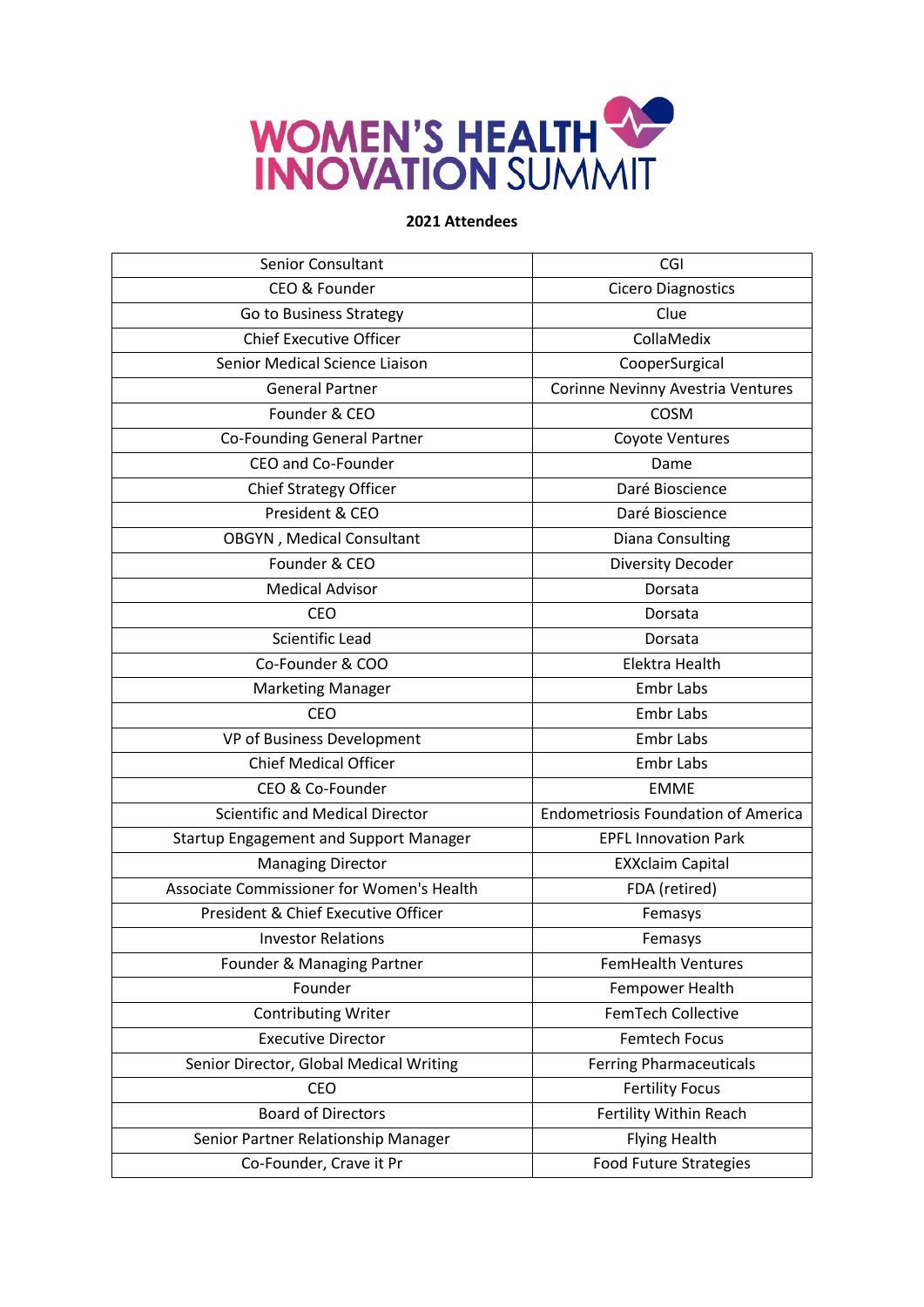

| <b>Senior Consultant</b>                      | CGI                                        |
|-----------------------------------------------|--------------------------------------------|
| CEO & Founder                                 | <b>Cicero Diagnostics</b>                  |
| Go to Business Strategy                       | Clue                                       |
| <b>Chief Executive Officer</b>                | CollaMedix                                 |
| Senior Medical Science Liaison                | CooperSurgical                             |
| <b>General Partner</b>                        | Corinne Nevinny Avestria Ventures          |
| Founder & CEO                                 | <b>COSM</b>                                |
| <b>Co-Founding General Partner</b>            | Coyote Ventures                            |
| CEO and Co-Founder                            | Dame                                       |
| <b>Chief Strategy Officer</b>                 | Daré Bioscience                            |
| President & CEO                               | Daré Bioscience                            |
| OBGYN, Medical Consultant                     | Diana Consulting                           |
| Founder & CEO                                 | <b>Diversity Decoder</b>                   |
| <b>Medical Advisor</b>                        | Dorsata                                    |
| <b>CEO</b>                                    | Dorsata                                    |
| <b>Scientific Lead</b>                        | Dorsata                                    |
| Co-Founder & COO                              | Elektra Health                             |
| <b>Marketing Manager</b>                      | <b>Embr Labs</b>                           |
| <b>CEO</b>                                    | <b>Embr Labs</b>                           |
| VP of Business Development                    | <b>Embr Labs</b>                           |
| <b>Chief Medical Officer</b>                  | <b>Embr Labs</b>                           |
| CEO & Co-Founder                              | <b>EMME</b>                                |
| <b>Scientific and Medical Director</b>        | <b>Endometriosis Foundation of America</b> |
| <b>Startup Engagement and Support Manager</b> | <b>EPFL Innovation Park</b>                |
| <b>Managing Director</b>                      | <b>EXXclaim Capital</b>                    |
| Associate Commissioner for Women's Health     | FDA (retired)                              |
| President & Chief Executive Officer           | Femasys                                    |
| <b>Investor Relations</b>                     | Femasys                                    |
| Founder & Managing Partner                    | <b>FemHealth Ventures</b>                  |
| Founder                                       | Fempower Health                            |
| <b>Contributing Writer</b>                    | FemTech Collective                         |
| <b>Executive Director</b>                     | <b>Femtech Focus</b>                       |
| Senior Director, Global Medical Writing       | <b>Ferring Pharmaceuticals</b>             |
| CEO                                           | <b>Fertility Focus</b>                     |
| <b>Board of Directors</b>                     | Fertility Within Reach                     |
| Senior Partner Relationship Manager           | <b>Flying Health</b>                       |
| Co-Founder, Crave it Pr                       | <b>Food Future Strategies</b>              |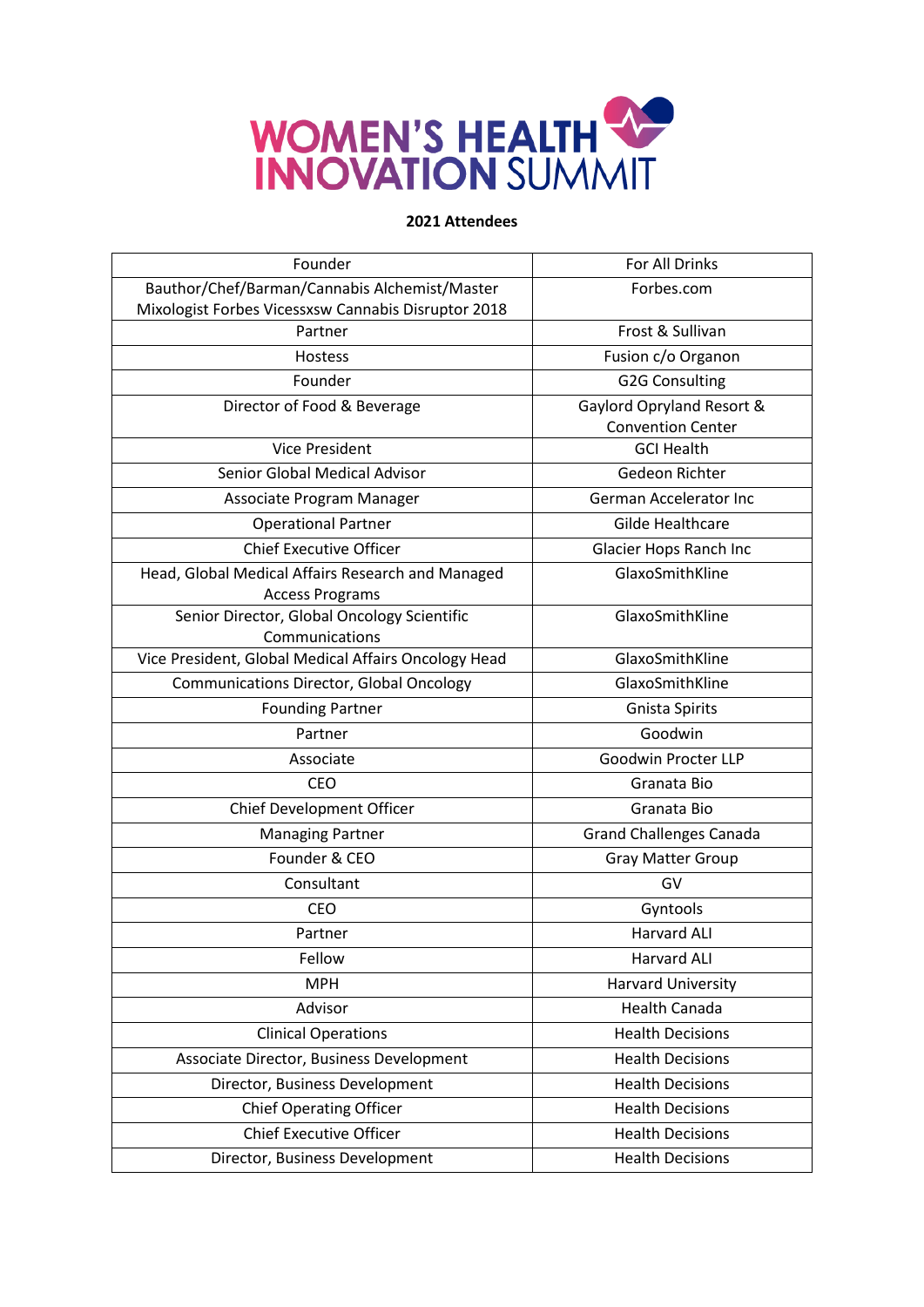

| Founder                                              | For All Drinks                 |
|------------------------------------------------------|--------------------------------|
| Bauthor/Chef/Barman/Cannabis Alchemist/Master        | Forbes.com                     |
| Mixologist Forbes Vicessxsw Cannabis Disruptor 2018  |                                |
| Partner                                              | Frost & Sullivan               |
| Hostess                                              | Fusion c/o Organon             |
| Founder                                              | <b>G2G Consulting</b>          |
| Director of Food & Beverage                          | Gaylord Opryland Resort &      |
|                                                      | <b>Convention Center</b>       |
| <b>Vice President</b>                                | <b>GCI Health</b>              |
| Senior Global Medical Advisor                        | Gedeon Richter                 |
| Associate Program Manager                            | <b>German Accelerator Inc</b>  |
| <b>Operational Partner</b>                           | <b>Gilde Healthcare</b>        |
| <b>Chief Executive Officer</b>                       | Glacier Hops Ranch Inc         |
| Head, Global Medical Affairs Research and Managed    | GlaxoSmithKline                |
| <b>Access Programs</b>                               |                                |
| Senior Director, Global Oncology Scientific          | GlaxoSmithKline                |
| Communications                                       |                                |
| Vice President, Global Medical Affairs Oncology Head | GlaxoSmithKline                |
| <b>Communications Director, Global Oncology</b>      | GlaxoSmithKline                |
| <b>Founding Partner</b>                              | <b>Gnista Spirits</b>          |
| Partner                                              | Goodwin                        |
| Associate                                            | Goodwin Procter LLP            |
| <b>CEO</b>                                           | Granata Bio                    |
| Chief Development Officer                            | Granata Bio                    |
| <b>Managing Partner</b>                              | <b>Grand Challenges Canada</b> |
| Founder & CEO                                        | <b>Gray Matter Group</b>       |
| Consultant                                           | GV                             |
| <b>CEO</b>                                           | Gyntools                       |
| Partner                                              | <b>Harvard ALI</b>             |
| Fellow                                               | <b>Harvard ALI</b>             |
| <b>MPH</b>                                           | <b>Harvard University</b>      |
| Advisor                                              | <b>Health Canada</b>           |
| <b>Clinical Operations</b>                           | <b>Health Decisions</b>        |
| Associate Director, Business Development             | <b>Health Decisions</b>        |
| Director, Business Development                       | <b>Health Decisions</b>        |
| <b>Chief Operating Officer</b>                       | <b>Health Decisions</b>        |
| <b>Chief Executive Officer</b>                       | <b>Health Decisions</b>        |
|                                                      |                                |
| Director, Business Development                       | <b>Health Decisions</b>        |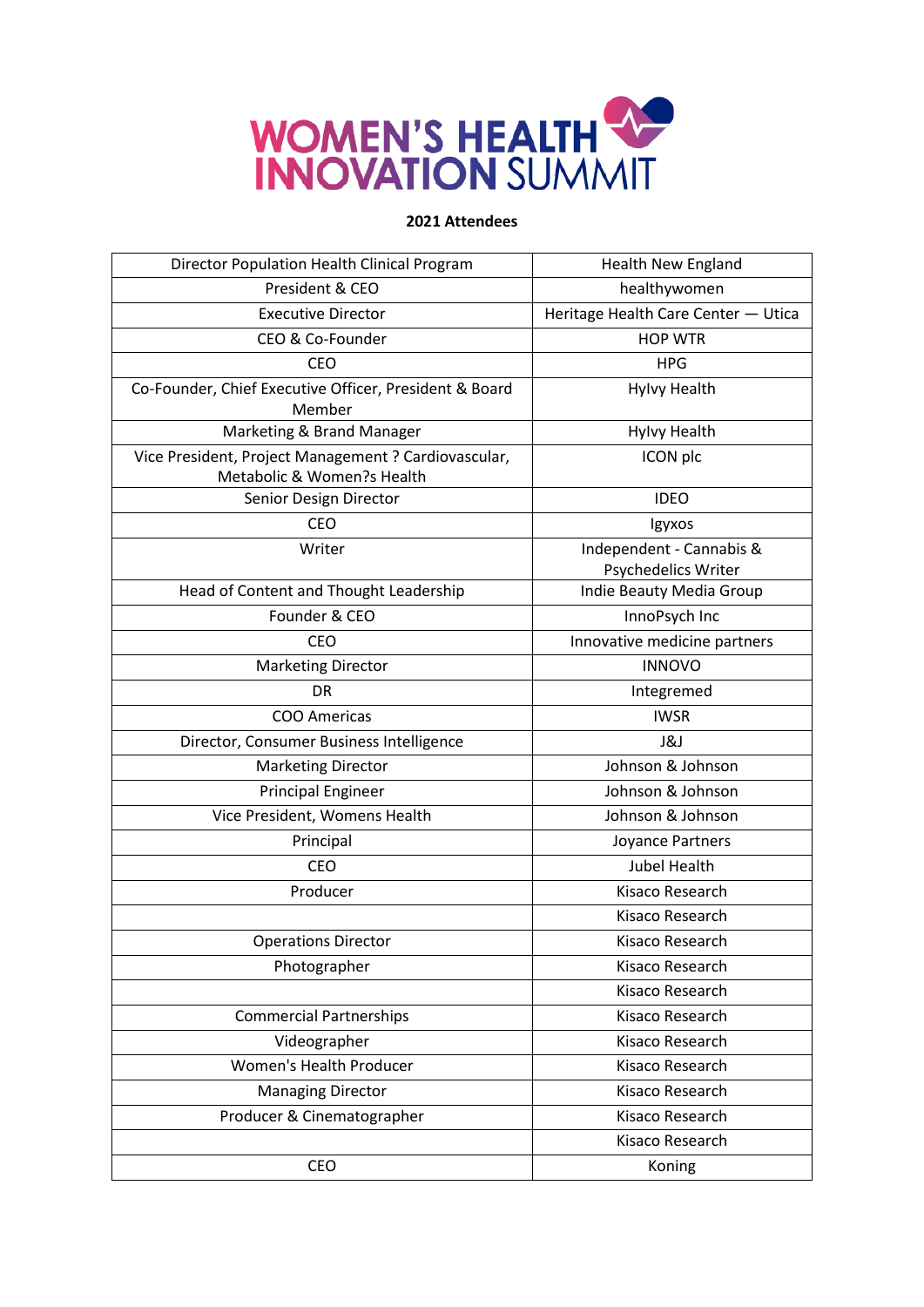

| Director Population Health Clinical Program                                        | <b>Health New England</b>                       |
|------------------------------------------------------------------------------------|-------------------------------------------------|
| President & CEO                                                                    | healthywomen                                    |
| <b>Executive Director</b>                                                          | Heritage Health Care Center - Utica             |
| CEO & Co-Founder                                                                   | <b>HOP WTR</b>                                  |
| <b>CEO</b>                                                                         | <b>HPG</b>                                      |
| Co-Founder, Chief Executive Officer, President & Board<br>Member                   | <b>Hylvy Health</b>                             |
| Marketing & Brand Manager                                                          | <b>Hylvy Health</b>                             |
| Vice President, Project Management ? Cardiovascular,<br>Metabolic & Women?s Health | ICON plc                                        |
| Senior Design Director                                                             | <b>IDEO</b>                                     |
| <b>CEO</b>                                                                         | Igyxos                                          |
| Writer                                                                             | Independent - Cannabis &<br>Psychedelics Writer |
| Head of Content and Thought Leadership                                             | Indie Beauty Media Group                        |
| Founder & CEO                                                                      | InnoPsych Inc                                   |
| <b>CEO</b>                                                                         | Innovative medicine partners                    |
| <b>Marketing Director</b>                                                          | <b>INNOVO</b>                                   |
| DR                                                                                 | Integremed                                      |
| COO Americas                                                                       | <b>IWSR</b>                                     |
| Director, Consumer Business Intelligence                                           | <b>J&amp;J</b>                                  |
| <b>Marketing Director</b>                                                          | Johnson & Johnson                               |
| <b>Principal Engineer</b>                                                          | Johnson & Johnson                               |
| Vice President, Womens Health                                                      | Johnson & Johnson                               |
| Principal                                                                          | Joyance Partners                                |
| <b>CEO</b>                                                                         | <b>Jubel Health</b>                             |
| Producer                                                                           | Kisaco Research                                 |
|                                                                                    | Kisaco Research                                 |
| <b>Operations Director</b>                                                         | Kisaco Research                                 |
| Photographer                                                                       | Kisaco Research                                 |
|                                                                                    | Kisaco Research                                 |
| <b>Commercial Partnerships</b>                                                     | Kisaco Research                                 |
| Videographer                                                                       | Kisaco Research                                 |
| <b>Women's Health Producer</b>                                                     | Kisaco Research                                 |
| <b>Managing Director</b>                                                           | Kisaco Research                                 |
| Producer & Cinematographer                                                         | Kisaco Research                                 |
|                                                                                    | Kisaco Research                                 |
| CEO                                                                                | Koning                                          |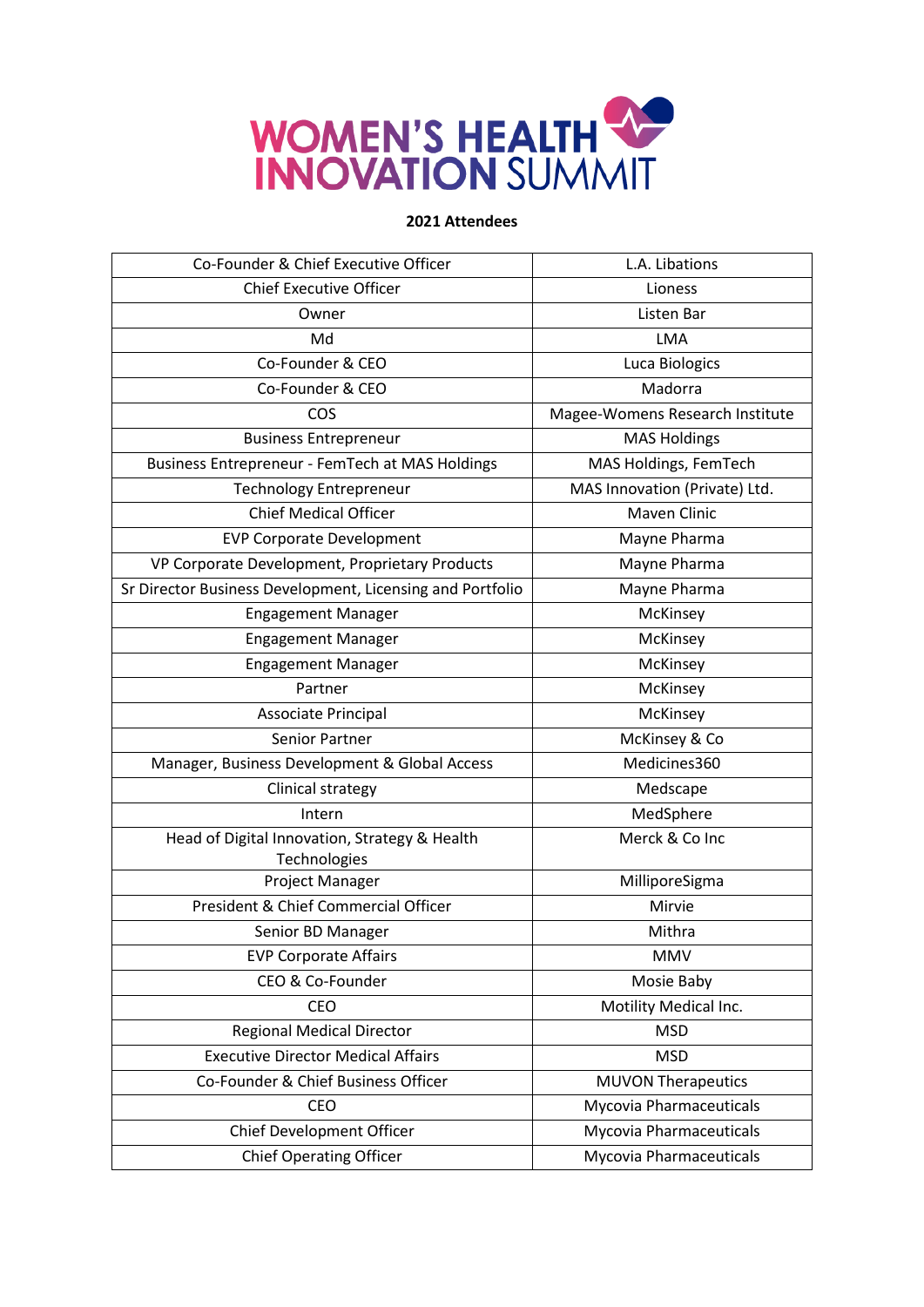

| Co-Founder & Chief Executive Officer                      | L.A. Libations                  |
|-----------------------------------------------------------|---------------------------------|
| <b>Chief Executive Officer</b>                            | Lioness                         |
| Owner                                                     | Listen Bar                      |
| Md                                                        | <b>LMA</b>                      |
| Co-Founder & CEO                                          | Luca Biologics                  |
| Co-Founder & CEO                                          | Madorra                         |
| COS                                                       | Magee-Womens Research Institute |
| <b>Business Entrepreneur</b>                              | <b>MAS Holdings</b>             |
| Business Entrepreneur - FemTech at MAS Holdings           | MAS Holdings, FemTech           |
| <b>Technology Entrepreneur</b>                            | MAS Innovation (Private) Ltd.   |
| <b>Chief Medical Officer</b>                              | <b>Maven Clinic</b>             |
| <b>EVP Corporate Development</b>                          | Mayne Pharma                    |
| VP Corporate Development, Proprietary Products            | Mayne Pharma                    |
| Sr Director Business Development, Licensing and Portfolio | Mayne Pharma                    |
| <b>Engagement Manager</b>                                 | McKinsey                        |
| <b>Engagement Manager</b>                                 | McKinsey                        |
| <b>Engagement Manager</b>                                 | McKinsey                        |
| Partner                                                   | McKinsey                        |
| Associate Principal                                       | McKinsey                        |
| Senior Partner                                            | McKinsey & Co                   |
| Manager, Business Development & Global Access             | Medicines360                    |
| Clinical strategy                                         | Medscape                        |
| Intern                                                    | MedSphere                       |
| Head of Digital Innovation, Strategy & Health             | Merck & Co Inc                  |
| Technologies                                              |                                 |
| Project Manager                                           | MilliporeSigma                  |
| President & Chief Commercial Officer                      | Mirvie                          |
| Senior BD Manager                                         | Mithra                          |
| <b>EVP Corporate Affairs</b>                              | <b>MMV</b>                      |
| CEO & Co-Founder                                          | Mosie Baby                      |
| CEO                                                       | Motility Medical Inc.           |
| <b>Regional Medical Director</b>                          | <b>MSD</b>                      |
| <b>Executive Director Medical Affairs</b>                 | <b>MSD</b>                      |
| Co-Founder & Chief Business Officer                       | <b>MUVON Therapeutics</b>       |
| CEO                                                       | Mycovia Pharmaceuticals         |
| Chief Development Officer                                 | Mycovia Pharmaceuticals         |
| <b>Chief Operating Officer</b>                            | Mycovia Pharmaceuticals         |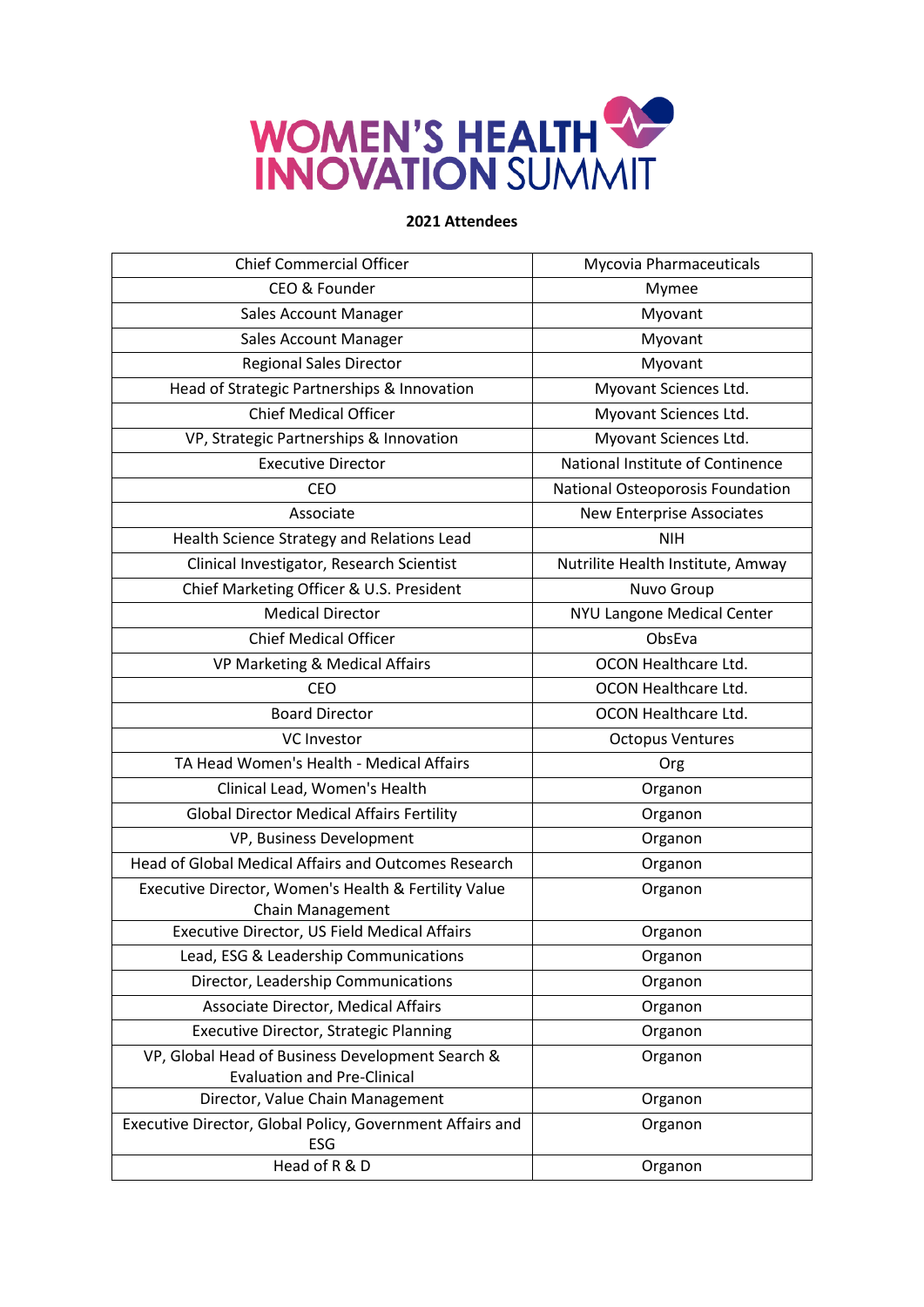

| <b>Chief Commercial Officer</b>                                        | Mycovia Pharmaceuticals           |
|------------------------------------------------------------------------|-----------------------------------|
| CEO & Founder                                                          | Mymee                             |
| Sales Account Manager                                                  | Myovant                           |
| <b>Sales Account Manager</b>                                           | Myovant                           |
| <b>Regional Sales Director</b>                                         | Myovant                           |
| Head of Strategic Partnerships & Innovation                            | Myovant Sciences Ltd.             |
| Chief Medical Officer                                                  | Myovant Sciences Ltd.             |
| VP, Strategic Partnerships & Innovation                                | Myovant Sciences Ltd.             |
| <b>Executive Director</b>                                              | National Institute of Continence  |
| <b>CEO</b>                                                             | National Osteoporosis Foundation  |
| Associate                                                              | <b>New Enterprise Associates</b>  |
| Health Science Strategy and Relations Lead                             | <b>NIH</b>                        |
| Clinical Investigator, Research Scientist                              | Nutrilite Health Institute, Amway |
| Chief Marketing Officer & U.S. President                               | Nuvo Group                        |
| <b>Medical Director</b>                                                | NYU Langone Medical Center        |
| <b>Chief Medical Officer</b>                                           | ObsEva                            |
| VP Marketing & Medical Affairs                                         | OCON Healthcare Ltd.              |
| <b>CEO</b>                                                             | OCON Healthcare Ltd.              |
| <b>Board Director</b>                                                  | OCON Healthcare Ltd.              |
| <b>VC Investor</b>                                                     | <b>Octopus Ventures</b>           |
| TA Head Women's Health - Medical Affairs                               | Org                               |
| Clinical Lead, Women's Health                                          | Organon                           |
| <b>Global Director Medical Affairs Fertility</b>                       | Organon                           |
| VP, Business Development                                               | Organon                           |
| <b>Head of Global Medical Affairs and Outcomes Research</b>            | Organon                           |
| Executive Director, Women's Health & Fertility Value                   | Organon                           |
| <b>Chain Management</b>                                                |                                   |
| Executive Director, US Field Medical Affairs                           | Organon                           |
| Lead, ESG & Leadership Communications                                  | Organon                           |
| Director, Leadership Communications                                    | Organon                           |
| Associate Director, Medical Affairs                                    | Organon                           |
| <b>Executive Director, Strategic Planning</b>                          | Organon                           |
| VP, Global Head of Business Development Search &                       | Organon                           |
| <b>Evaluation and Pre-Clinical</b><br>Director, Value Chain Management | Organon                           |
| Executive Director, Global Policy, Government Affairs and              | Organon                           |
| <b>ESG</b>                                                             |                                   |
| Head of R & D                                                          | Organon                           |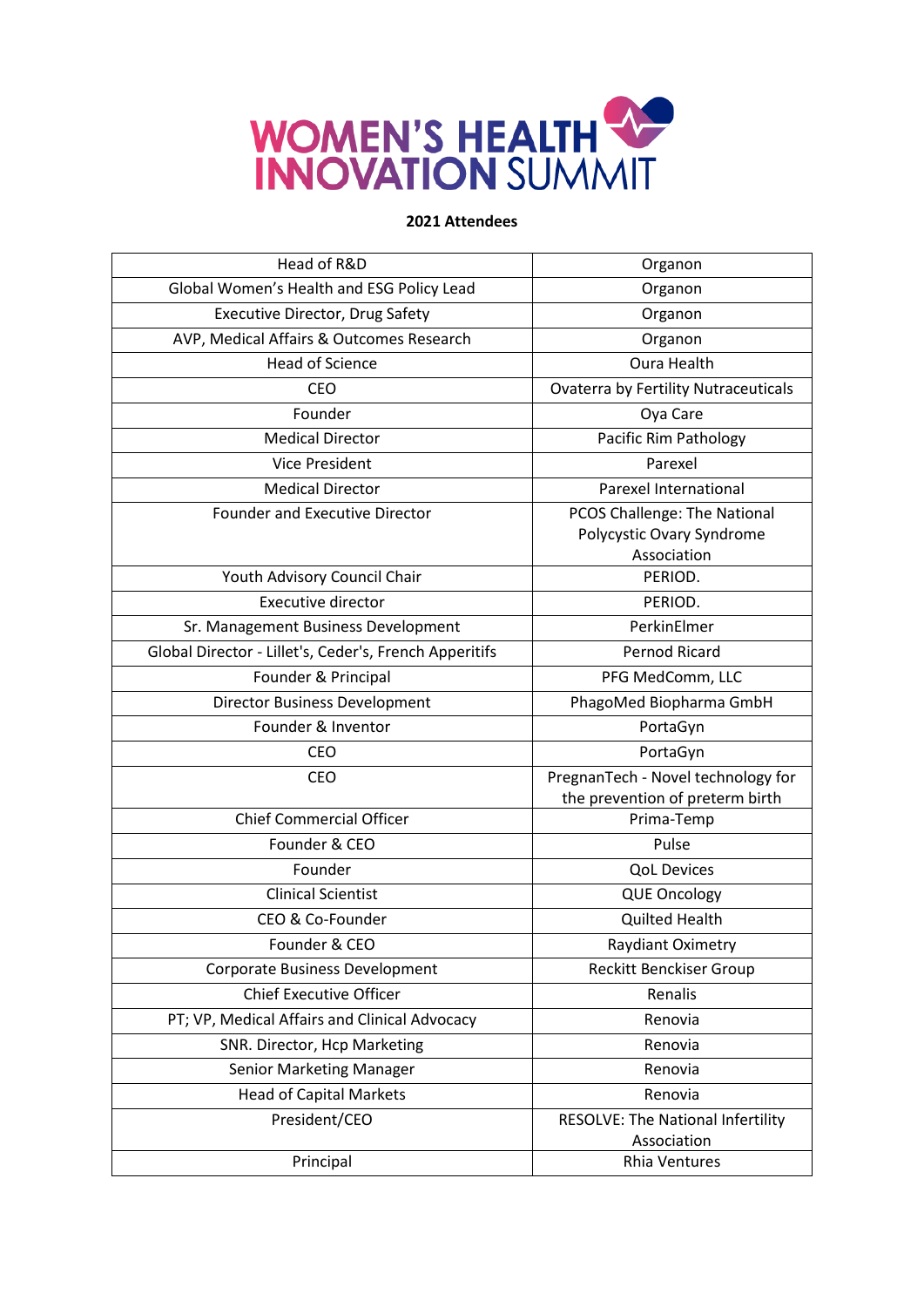

| Head of R&D                                            | Organon                                                                  |
|--------------------------------------------------------|--------------------------------------------------------------------------|
| Global Women's Health and ESG Policy Lead              | Organon                                                                  |
| <b>Executive Director, Drug Safety</b>                 | Organon                                                                  |
| AVP, Medical Affairs & Outcomes Research               | Organon                                                                  |
| <b>Head of Science</b>                                 | <b>Oura Health</b>                                                       |
| <b>CEO</b>                                             | <b>Ovaterra by Fertility Nutraceuticals</b>                              |
| Founder                                                | Oya Care                                                                 |
| <b>Medical Director</b>                                | Pacific Rim Pathology                                                    |
| <b>Vice President</b>                                  | Parexel                                                                  |
| <b>Medical Director</b>                                | Parexel International                                                    |
| <b>Founder and Executive Director</b>                  | PCOS Challenge: The National<br>Polycystic Ovary Syndrome<br>Association |
| Youth Advisory Council Chair                           | PERIOD.                                                                  |
| <b>Executive director</b>                              | PERIOD.                                                                  |
| Sr. Management Business Development                    | PerkinElmer                                                              |
| Global Director - Lillet's, Ceder's, French Apperitifs | <b>Pernod Ricard</b>                                                     |
| Founder & Principal                                    | PFG MedComm, LLC                                                         |
| <b>Director Business Development</b>                   | PhagoMed Biopharma GmbH                                                  |
| Founder & Inventor                                     | PortaGyn                                                                 |
| CEO                                                    | PortaGyn                                                                 |
| <b>CEO</b>                                             | PregnanTech - Novel technology for<br>the prevention of preterm birth    |
| <b>Chief Commercial Officer</b>                        | Prima-Temp                                                               |
| Founder & CEO                                          | Pulse                                                                    |
| Founder                                                | <b>QoL Devices</b>                                                       |
| <b>Clinical Scientist</b>                              | <b>QUE Oncology</b>                                                      |
| CEO & Co-Founder                                       | <b>Quilted Health</b>                                                    |
| Founder & CEO                                          | Raydiant Oximetry                                                        |
| <b>Corporate Business Development</b>                  | Reckitt Benckiser Group                                                  |
| <b>Chief Executive Officer</b>                         | Renalis                                                                  |
| PT; VP, Medical Affairs and Clinical Advocacy          | Renovia                                                                  |
| SNR. Director, Hcp Marketing                           | Renovia                                                                  |
| Senior Marketing Manager                               | Renovia                                                                  |
| <b>Head of Capital Markets</b>                         | Renovia                                                                  |
| President/CEO                                          | RESOLVE: The National Infertility<br>Association                         |
| Principal                                              | <b>Rhia Ventures</b>                                                     |
|                                                        |                                                                          |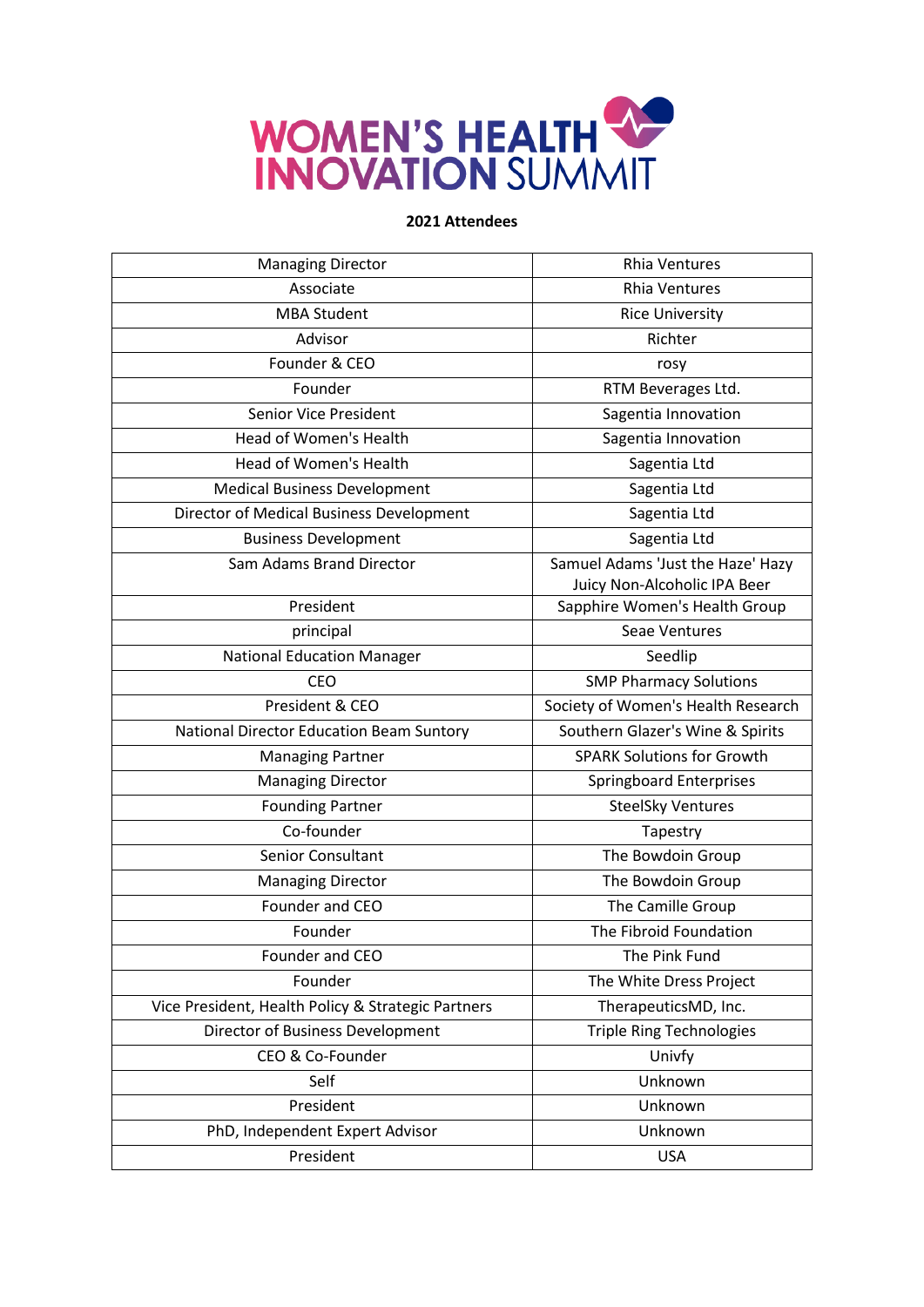

| <b>Managing Director</b>                           | <b>Rhia Ventures</b>                                              |
|----------------------------------------------------|-------------------------------------------------------------------|
| Associate                                          | <b>Rhia Ventures</b>                                              |
| <b>MBA Student</b>                                 | <b>Rice University</b>                                            |
| Advisor                                            | Richter                                                           |
| Founder & CEO                                      | rosy                                                              |
| Founder                                            | RTM Beverages Ltd.                                                |
| Senior Vice President                              | Sagentia Innovation                                               |
| Head of Women's Health                             | Sagentia Innovation                                               |
| Head of Women's Health                             | Sagentia Ltd                                                      |
| <b>Medical Business Development</b>                | Sagentia Ltd                                                      |
| Director of Medical Business Development           | Sagentia Ltd                                                      |
| <b>Business Development</b>                        | Sagentia Ltd                                                      |
| Sam Adams Brand Director                           | Samuel Adams 'Just the Haze' Hazy<br>Juicy Non-Alcoholic IPA Beer |
| President                                          | Sapphire Women's Health Group                                     |
| principal                                          | Seae Ventures                                                     |
| <b>National Education Manager</b>                  | Seedlip                                                           |
| <b>CEO</b>                                         | <b>SMP Pharmacy Solutions</b>                                     |
| President & CEO                                    | Society of Women's Health Research                                |
| National Director Education Beam Suntory           | Southern Glazer's Wine & Spirits                                  |
| <b>Managing Partner</b>                            | <b>SPARK Solutions for Growth</b>                                 |
| <b>Managing Director</b>                           | <b>Springboard Enterprises</b>                                    |
| <b>Founding Partner</b>                            | <b>SteelSky Ventures</b>                                          |
| Co-founder                                         | Tapestry                                                          |
| Senior Consultant                                  | The Bowdoin Group                                                 |
| <b>Managing Director</b>                           | The Bowdoin Group                                                 |
| Founder and CEO                                    | The Camille Group                                                 |
| Founder                                            | The Fibroid Foundation                                            |
| Founder and CEO                                    | The Pink Fund                                                     |
| Founder                                            | The White Dress Project                                           |
| Vice President, Health Policy & Strategic Partners | TherapeuticsMD, Inc.                                              |
| Director of Business Development                   | <b>Triple Ring Technologies</b>                                   |
| CEO & Co-Founder                                   | Univfy                                                            |
| Self                                               | Unknown                                                           |
| President                                          | Unknown                                                           |
| PhD, Independent Expert Advisor                    | Unknown                                                           |
| President                                          | <b>USA</b>                                                        |
|                                                    |                                                                   |